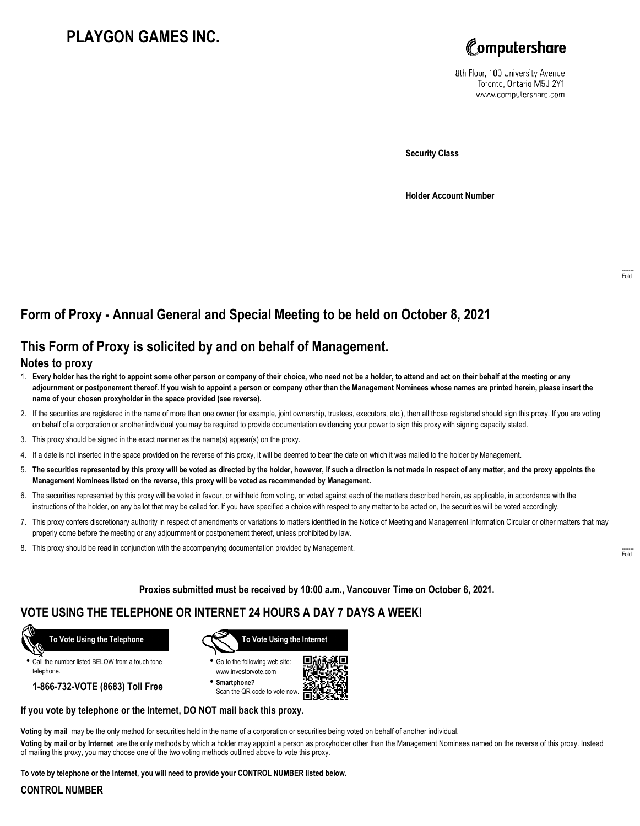# **PLAYGON GAMES INC.**



8th Floor, 100 University Avenue Toronto, Ontario M5J 2Y1 www.computershare.com

**Security Class**

**Holder Account Number**

## **Form of Proxy - Annual General and Special Meeting to be held on October 8, 2021**

## **This Form of Proxy is solicited by and on behalf of Management.**

### **Notes to proxy**

- 1. **Every holder has the right to appoint some other person or company of their choice, who need not be a holder, to attend and act on their behalf at the meeting or any adjournment or postponement thereof. If you wish to appoint a person or company other than the Management Nominees whose names are printed herein, please insert the name of your chosen proxyholder in the space provided (see reverse).**
- 2. If the securities are registered in the name of more than one owner (for example, joint ownership, trustees, executors, etc.), then all those registered should sign this proxy. If you are voting on behalf of a corporation or another individual you may be required to provide documentation evidencing your power to sign this proxy with signing capacity stated.
- 3. This proxy should be signed in the exact manner as the name(s) appear(s) on the proxy.
- 4. If a date is not inserted in the space provided on the reverse of this proxy, it will be deemed to bear the date on which it was mailed to the holder by Management.
- 5. **The securities represented by this proxy will be voted as directed by the holder, however, if such a direction is not made in respect of any matter, and the proxy appoints the Management Nominees listed on the reverse, this proxy will be voted as recommended by Management.**
- 6. The securities represented by this proxy will be voted in favour, or withheld from voting, or voted against each of the matters described herein, as applicable, in accordance with the instructions of the holder, on any ballot that may be called for. If you have specified a choice with respect to any matter to be acted on, the securities will be voted accordingly.
- 7. This proxy confers discretionary authority in respect of amendments or variations to matters identified in the Notice of Meeting and Management Information Circular or other matters that may properly come before the meeting or any adjournment or postponement thereof, unless prohibited by law.
- 8. This proxy should be read in conjunction with the accompanying documentation provided by Management.

**Proxies submitted must be received by 10:00 a.m., Vancouver Time on October 6, 2021.**

## **VOTE USING THE TELEPHONE OR INTERNET 24 HOURS A DAY 7 DAYS A WEEK!**

 **To Vote Using the Telephone**

**•** Call the number listed BELOW from a touch tone telephone.

**1-866-732-VOTE (8683) Toll Free**



**•** Go to the following web site: www.investorvote.com

**• Smartphone?** Scan the QR code to vote now.



#### **If you vote by telephone or the Internet, DO NOT mail back this proxy.**

**Voting by mail** may be the only method for securities held in the name of a corporation or securities being voted on behalf of another individual.

**Voting by mail or by Internet** are the only methods by which a holder may appoint a person as proxyholder other than the Management Nominees named on the reverse of this proxy. Instead of mailing this proxy, you may choose one of the two voting methods outlined above to vote this proxy.

**To vote by telephone or the Internet, you will need to provide your CONTROL NUMBER listed below.**

#### **CONTROL NUMBER**